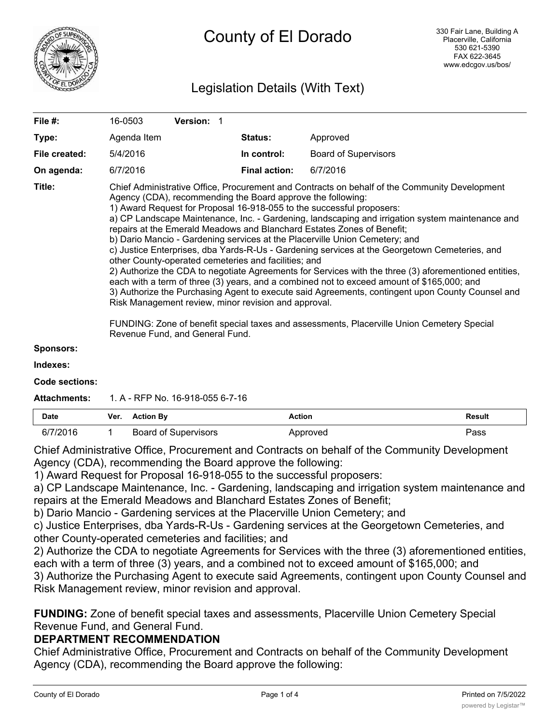

# Legislation Details (With Text)

| File #:          | 16-0503                                                                                                                                                                                                                                                                                                                                                                                                                                                                                                                                                                                                                                                                                                                                                                                                                                                                                                                                                                                                                                                                                                                                                         | <b>Version: 1</b>    |                             |  |  |
|------------------|-----------------------------------------------------------------------------------------------------------------------------------------------------------------------------------------------------------------------------------------------------------------------------------------------------------------------------------------------------------------------------------------------------------------------------------------------------------------------------------------------------------------------------------------------------------------------------------------------------------------------------------------------------------------------------------------------------------------------------------------------------------------------------------------------------------------------------------------------------------------------------------------------------------------------------------------------------------------------------------------------------------------------------------------------------------------------------------------------------------------------------------------------------------------|----------------------|-----------------------------|--|--|
| Type:            | Agenda Item                                                                                                                                                                                                                                                                                                                                                                                                                                                                                                                                                                                                                                                                                                                                                                                                                                                                                                                                                                                                                                                                                                                                                     | <b>Status:</b>       | Approved                    |  |  |
| File created:    | 5/4/2016                                                                                                                                                                                                                                                                                                                                                                                                                                                                                                                                                                                                                                                                                                                                                                                                                                                                                                                                                                                                                                                                                                                                                        | In control:          | <b>Board of Supervisors</b> |  |  |
| On agenda:       | 6/7/2016                                                                                                                                                                                                                                                                                                                                                                                                                                                                                                                                                                                                                                                                                                                                                                                                                                                                                                                                                                                                                                                                                                                                                        | <b>Final action:</b> | 6/7/2016                    |  |  |
| Title:           | Chief Administrative Office, Procurement and Contracts on behalf of the Community Development<br>Agency (CDA), recommending the Board approve the following:<br>1) Award Request for Proposal 16-918-055 to the successful proposers:<br>a) CP Landscape Maintenance, Inc. - Gardening, landscaping and irrigation system maintenance and<br>repairs at the Emerald Meadows and Blanchard Estates Zones of Benefit;<br>b) Dario Mancio - Gardening services at the Placerville Union Cemetery; and<br>c) Justice Enterprises, dba Yards-R-Us - Gardening services at the Georgetown Cemeteries, and<br>other County-operated cemeteries and facilities; and<br>2) Authorize the CDA to negotiate Agreements for Services with the three (3) aforementioned entities,<br>each with a term of three (3) years, and a combined not to exceed amount of \$165,000; and<br>3) Authorize the Purchasing Agent to execute said Agreements, contingent upon County Counsel and<br>Risk Management review, minor revision and approval.<br>FUNDING: Zone of benefit special taxes and assessments, Placerville Union Cemetery Special<br>Revenue Fund, and General Fund. |                      |                             |  |  |
| <b>Sponsors:</b> |                                                                                                                                                                                                                                                                                                                                                                                                                                                                                                                                                                                                                                                                                                                                                                                                                                                                                                                                                                                                                                                                                                                                                                 |                      |                             |  |  |
| Indexes:         |                                                                                                                                                                                                                                                                                                                                                                                                                                                                                                                                                                                                                                                                                                                                                                                                                                                                                                                                                                                                                                                                                                                                                                 |                      |                             |  |  |

**Code sections:**

**Attachments:** 1. A - RFP No. 16-918-055 6-7-16

| <b>Date</b> | Ver. | <b>Action By</b>     | Action   | Result |
|-------------|------|----------------------|----------|--------|
| n/          |      | Board of Supervisors | Approved | ാass   |

Chief Administrative Office, Procurement and Contracts on behalf of the Community Development Agency (CDA), recommending the Board approve the following:

1) Award Request for Proposal 16-918-055 to the successful proposers:

a) CP Landscape Maintenance, Inc. - Gardening, landscaping and irrigation system maintenance and repairs at the Emerald Meadows and Blanchard Estates Zones of Benefit;

b) Dario Mancio - Gardening services at the Placerville Union Cemetery; and

c) Justice Enterprises, dba Yards-R-Us - Gardening services at the Georgetown Cemeteries, and other County-operated cemeteries and facilities; and

2) Authorize the CDA to negotiate Agreements for Services with the three (3) aforementioned entities, each with a term of three (3) years, and a combined not to exceed amount of \$165,000; and

3) Authorize the Purchasing Agent to execute said Agreements, contingent upon County Counsel and Risk Management review, minor revision and approval.

**FUNDING:** Zone of benefit special taxes and assessments, Placerville Union Cemetery Special Revenue Fund, and General Fund.

### **DEPARTMENT RECOMMENDATION**

Chief Administrative Office, Procurement and Contracts on behalf of the Community Development Agency (CDA), recommending the Board approve the following: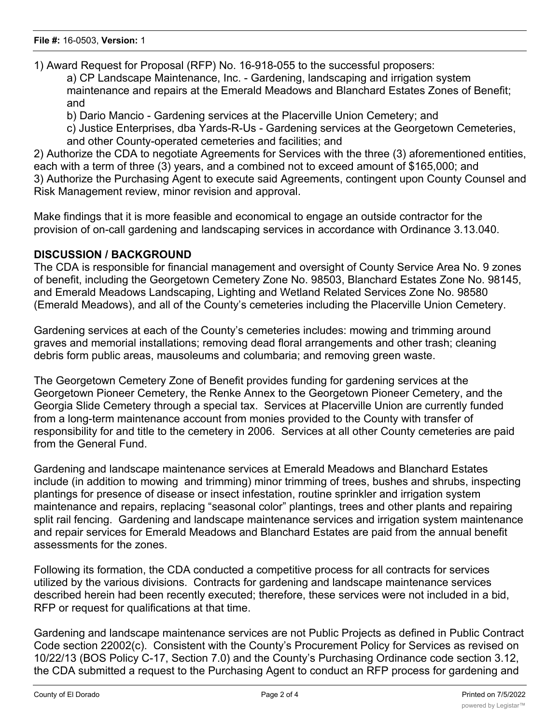1) Award Request for Proposal (RFP) No. 16-918-055 to the successful proposers:

a) CP Landscape Maintenance, Inc. - Gardening, landscaping and irrigation system maintenance and repairs at the Emerald Meadows and Blanchard Estates Zones of Benefit; and

b) Dario Mancio - Gardening services at the Placerville Union Cemetery; and

c) Justice Enterprises, dba Yards-R-Us - Gardening services at the Georgetown Cemeteries, and other County-operated cemeteries and facilities; and

2) Authorize the CDA to negotiate Agreements for Services with the three (3) aforementioned entities, each with a term of three (3) years, and a combined not to exceed amount of \$165,000; and 3) Authorize the Purchasing Agent to execute said Agreements, contingent upon County Counsel and Risk Management review, minor revision and approval.

Make findings that it is more feasible and economical to engage an outside contractor for the provision of on-call gardening and landscaping services in accordance with Ordinance 3.13.040.

#### **DISCUSSION / BACKGROUND**

The CDA is responsible for financial management and oversight of County Service Area No. 9 zones of benefit, including the Georgetown Cemetery Zone No. 98503, Blanchard Estates Zone No. 98145, and Emerald Meadows Landscaping, Lighting and Wetland Related Services Zone No. 98580 (Emerald Meadows), and all of the County's cemeteries including the Placerville Union Cemetery.

Gardening services at each of the County's cemeteries includes: mowing and trimming around graves and memorial installations; removing dead floral arrangements and other trash; cleaning debris form public areas, mausoleums and columbaria; and removing green waste.

The Georgetown Cemetery Zone of Benefit provides funding for gardening services at the Georgetown Pioneer Cemetery, the Renke Annex to the Georgetown Pioneer Cemetery, and the Georgia Slide Cemetery through a special tax. Services at Placerville Union are currently funded from a long-term maintenance account from monies provided to the County with transfer of responsibility for and title to the cemetery in 2006. Services at all other County cemeteries are paid from the General Fund.

Gardening and landscape maintenance services at Emerald Meadows and Blanchard Estates include (in addition to mowing and trimming) minor trimming of trees, bushes and shrubs, inspecting plantings for presence of disease or insect infestation, routine sprinkler and irrigation system maintenance and repairs, replacing "seasonal color" plantings, trees and other plants and repairing split rail fencing. Gardening and landscape maintenance services and irrigation system maintenance and repair services for Emerald Meadows and Blanchard Estates are paid from the annual benefit assessments for the zones.

Following its formation, the CDA conducted a competitive process for all contracts for services utilized by the various divisions. Contracts for gardening and landscape maintenance services described herein had been recently executed; therefore, these services were not included in a bid, RFP or request for qualifications at that time.

Gardening and landscape maintenance services are not Public Projects as defined in Public Contract Code section 22002(c). Consistent with the County's Procurement Policy for Services as revised on 10/22/13 (BOS Policy C-17, Section 7.0) and the County's Purchasing Ordinance code section 3.12, the CDA submitted a request to the Purchasing Agent to conduct an RFP process for gardening and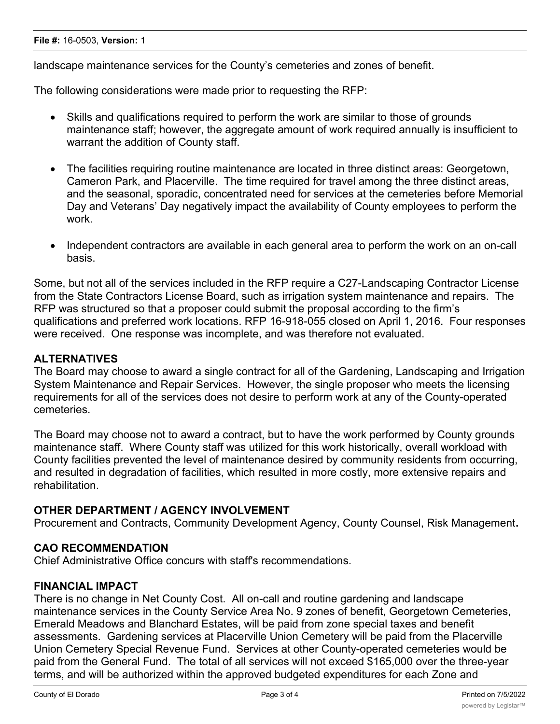#### **OTHER DEPARTMENT / AGENCY INVOLVEMENT**

Procurement and Contracts, Community Development Agency, County Counsel, Risk Management**.**

#### **CAO RECOMMENDATION**

Chief Administrative Office concurs with staff's recommendations.

#### **FINANCIAL IMPACT**

There is no change in Net County Cost. All on-call and routine gardening and landscape maintenance services in the County Service Area No. 9 zones of benefit, Georgetown Cemeteries, Emerald Meadows and Blanchard Estates, will be paid from zone special taxes and benefit assessments. Gardening services at Placerville Union Cemetery will be paid from the Placerville Union Cemetery Special Revenue Fund. Services at other County-operated cemeteries would be paid from the General Fund. The total of all services will not exceed \$165,000 over the three-year terms, and will be authorized within the approved budgeted expenditures for each Zone and

#### **File #:** 16-0503, **Version:** 1

landscape maintenance services for the County's cemeteries and zones of benefit.

The following considerations were made prior to requesting the RFP:

- Skills and qualifications required to perform the work are similar to those of grounds maintenance staff; however, the aggregate amount of work required annually is insufficient to warrant the addition of County staff.
- · The facilities requiring routine maintenance are located in three distinct areas: Georgetown, Cameron Park, and Placerville. The time required for travel among the three distinct areas, and the seasonal, sporadic, concentrated need for services at the cemeteries before Memorial Day and Veterans' Day negatively impact the availability of County employees to perform the work.
- Independent contractors are available in each general area to perform the work on an on-call basis.

Some, but not all of the services included in the RFP require a C27-Landscaping Contractor License from the State Contractors License Board, such as irrigation system maintenance and repairs. The RFP was structured so that a proposer could submit the proposal according to the firm's qualifications and preferred work locations. RFP 16-918-055 closed on April 1, 2016. Four responses were received. One response was incomplete, and was therefore not evaluated.

## **ALTERNATIVES**

The Board may choose to award a single contract for all of the Gardening, Landscaping and Irrigation System Maintenance and Repair Services. However, the single proposer who meets the licensing requirements for all of the services does not desire to perform work at any of the County-operated cemeteries.

The Board may choose not to award a contract, but to have the work performed by County grounds maintenance staff. Where County staff was utilized for this work historically, overall workload with County facilities prevented the level of maintenance desired by community residents from occurring, and resulted in degradation of facilities, which resulted in more costly, more extensive repairs and